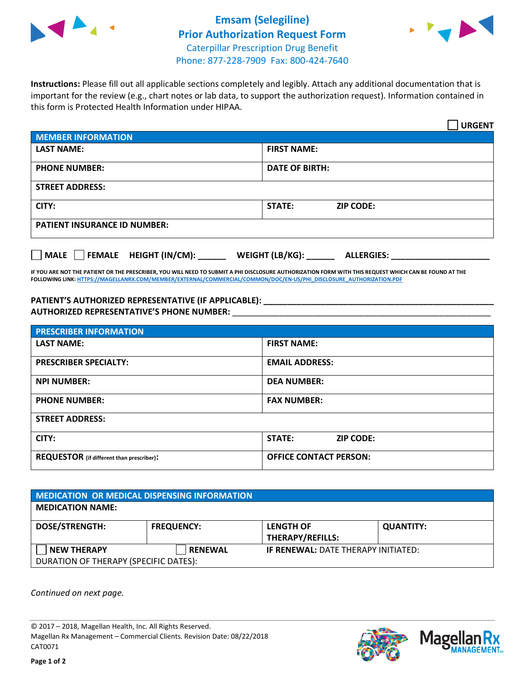



**Instructions:** Please fill out all applicable sections completely and legibly. Attach any additional documentation that is important for the review (e.g., chart notes or lab data, to support the authorization request). Information contained in this form is Protected Health Information under HIPAA.

|                                       | <b>URGENT</b>                        |  |  |  |
|---------------------------------------|--------------------------------------|--|--|--|
| <b>MEMBER INFORMATION</b>             |                                      |  |  |  |
| <b>LAST NAME:</b>                     | <b>FIRST NAME:</b>                   |  |  |  |
| <b>PHONE NUMBER:</b>                  | <b>DATE OF BIRTH:</b>                |  |  |  |
| <b>STREET ADDRESS:</b>                |                                      |  |  |  |
| CITY:                                 | <b>ZIP CODE:</b><br>STATE:           |  |  |  |
| <b>PATIENT INSURANCE ID NUMBER:</b>   |                                      |  |  |  |
| FEMALE HEIGHT (IN/CM):<br><b>MALE</b> | WEIGHT (LB/KG):<br><b>ALLERGIES:</b> |  |  |  |

**IF YOU ARE NOT THE PATIENT OR THE PRESCRIBER, YOU WILL NEED TO SUBMIT A PHI DISCLOSURE AUTHORIZATION FORM WITH THIS REQUEST WHICH CAN BE FOUND AT THE FOLLOWING LINK[: HTTPS://MAGELLANRX.COM/MEMBER/EXTERNAL/COMMERCIAL/COMMON/DOC/EN-US/PHI\\_DISCLOSURE\\_AUTHORIZATION.PDF](https://magellanrx.com/member/external/commercial/common/doc/en-us/PHI_Disclosure_Authorization.pdf)**

**PATIENT'S AUTHORIZED REPRESENTATIVE (IF APPLICABLE): \_\_\_\_\_\_\_\_\_\_\_\_\_\_\_\_\_\_\_\_\_\_\_\_\_\_\_\_\_\_\_\_\_\_\_\_\_\_\_\_\_\_\_\_\_\_\_\_\_ AUTHORIZED REPRESENTATIVE'S PHONE NUMBER:** \_\_\_\_\_\_\_\_\_\_\_\_\_\_\_\_\_\_\_\_\_\_\_\_\_\_\_\_\_\_\_\_\_\_\_\_\_\_\_\_\_\_\_\_\_\_\_\_\_\_\_\_\_\_\_

| <b>PRESCRIBER INFORMATION</b>             |                                   |  |  |
|-------------------------------------------|-----------------------------------|--|--|
| <b>LAST NAME:</b>                         | <b>FIRST NAME:</b>                |  |  |
| <b>PRESCRIBER SPECIALTY:</b>              | <b>EMAIL ADDRESS:</b>             |  |  |
| <b>NPI NUMBER:</b>                        | <b>DEA NUMBER:</b>                |  |  |
| <b>PHONE NUMBER:</b>                      | <b>FAX NUMBER:</b>                |  |  |
| <b>STREET ADDRESS:</b>                    |                                   |  |  |
| CITY:                                     | <b>STATE:</b><br><b>ZIP CODE:</b> |  |  |
| REQUESTOR (if different than prescriber): | <b>OFFICE CONTACT PERSON:</b>     |  |  |

| <b>MEDICATION OR MEDICAL DISPENSING INFORMATION</b> |                   |                                             |                  |  |  |
|-----------------------------------------------------|-------------------|---------------------------------------------|------------------|--|--|
| <b>MEDICATION NAME:</b>                             |                   |                                             |                  |  |  |
| <b>DOSE/STRENGTH:</b>                               | <b>FREQUENCY:</b> | <b>LENGTH OF</b><br><b>THERAPY/REFILLS:</b> | <b>QUANTITY:</b> |  |  |
| <b>NEW THERAPY</b>                                  | <b>RENEWAL</b>    | <b>IF RENEWAL: DATE THERAPY INITIATED:</b>  |                  |  |  |
| DURATION OF THERAPY (SPECIFIC DATES):               |                   |                                             |                  |  |  |

*Continued on next page.*

© 2017 – 2018, Magellan Health, Inc. All Rights Reserved. Magellan Rx Management – Commercial Clients. Revision Date: 08/22/2018 CAT0071